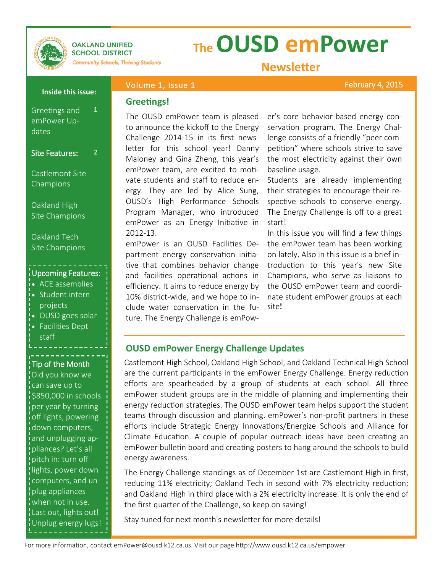

#### **OAKLAND UNIFIED SCHOOL DISTRICT**

# **The OUSD emPower**

**Community Schools, Thriving Students** 

### **Newsletter**

February 4, 2015

#### Volume 1, Issue 1 **Inside this issue:**

1

2

### **Greetings!**

Greetings and emPower Updates

Site Features:

Castlemont Site Champions

Oakland High Site Champions

Oakland Tech Site Champions

#### Upcoming Features:

- ACE assemblies i• Student intern
- projects OUSD goes solar
- Facilities Dept staff

#### Tip of the Month

Did you know we can save up to \$850,000 in schools per year by turning off lights, powering down computers, and unplugging appliances? Let's all pitch in: turn off lights, power down computers, and unplug appliances when not in use. Last out, lights out! Unplug energy lugs! The OUSD emPower team is pleased to announce the kickoff to the Energy Challenge 2014-15 in its first newsletter for this school year! Danny Maloney and Gina Zheng, this year's emPower team, are excited to motivate students and staff to reduce energy. They are led by Alice Sung, OUSD's High Performance Schools Program Manager, who introduced emPower as an Energy Initiative in 2012-13.

emPower is an OUSD Facilities Department energy conservation initiative that combines behavior change and facilities operational actions in efficiency. It aims to reduce energy by 10% district-wide, and we hope to include water conservation in the future. The Energy Challenge is emPower's core behavior-based energy conservation program. The Energy Challenge consists of a friendly "peer competition" where schools strive to save the most electricity against their own baseline usage.

Students are already implementing their strategies to encourage their respective schools to conserve energy. The Energy Challenge is off to a great start!

In this issue you will find a few things the emPower team has been working on lately. Also in this issue is a brief introduction to this year's new Site Champions, who serve as liaisons to the OUSD emPower team and coordinate student emPower groups at each site!

#### **OUSD emPower Energy Challenge Updates**

Castlemont High School, Oakland High School, and Oakland Technical High School are the current participants in the emPower Energy Challenge. Energy reduction efforts are spearheaded by a group of students at each school. All three emPower student groups are in the middle of planning and implementing their energy reduction strategies. The OUSD emPower team helps support the student teams through discussion and planning. emPower's non-profit partners in these efforts include Strategic Energy Innovations/Energize Schools and Alliance for Climate Education. A couple of popular outreach ideas have been creating an emPower bulletin board and creating posters to hang around the schools to build energy awareness.

The Energy Challenge standings as of December 1st are Castlemont High in first, reducing 11% electricity; Oakland Tech in second with 7% electricity reduction; and Oakland High in third place with a 2% electricity increase. It is only the end of the first quarter of the Challenge, so keep on saving!

Stay tuned for next month's newsletter for more details!

For more information, contact emPower@ousd.k12.ca.us. Visit our page http://www.ousd.k12.ca.us/empower